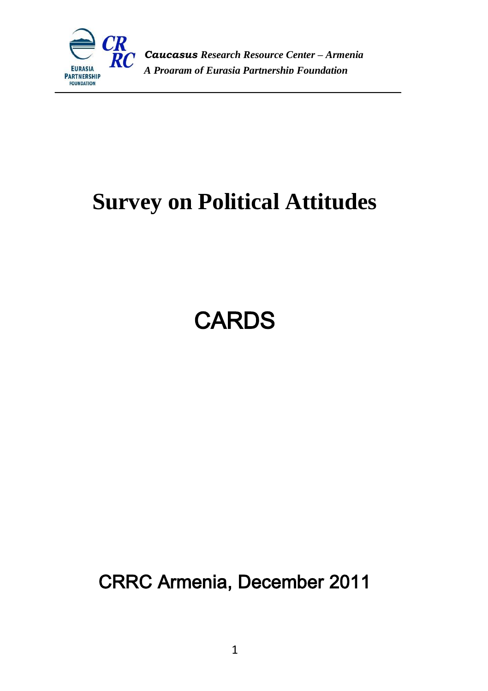

#### *Caucasus Research Resource Center – Armenia A Program of Eurasia Partnership Foundation*

### **Survey on Political Attitudes**

### **CARDS**

CRRC Armenia, December 2011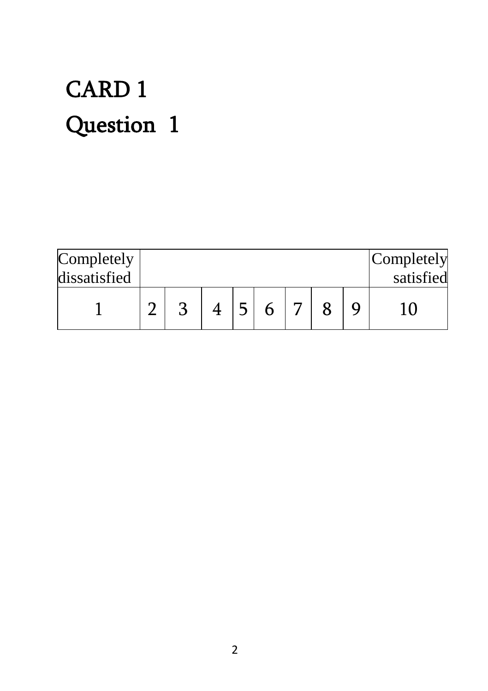## CARD 1 Question 1

| Completely<br>dissatisfied |  |  |  |  | Completely<br>satisfied |
|----------------------------|--|--|--|--|-------------------------|
|                            |  |  |  |  |                         |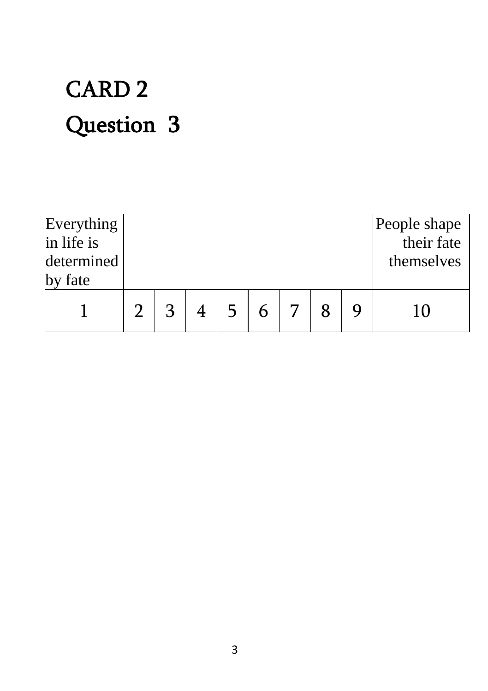# CARD 2 Question 3

| Everything<br>in life is<br>determined<br>fate |    |  |  |  | People shape<br>their fate<br>themselves |
|------------------------------------------------|----|--|--|--|------------------------------------------|
|                                                | רי |  |  |  |                                          |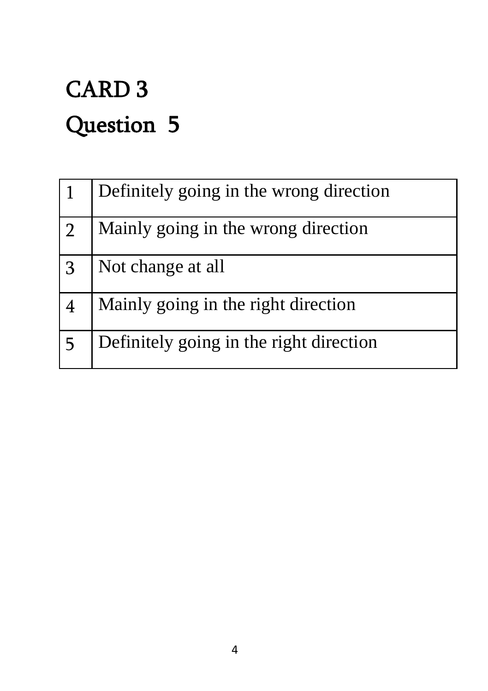# CARD 3 Question 5

|                | Definitely going in the wrong direction |
|----------------|-----------------------------------------|
| $\overline{2}$ | Mainly going in the wrong direction     |
| l 3            | Not change at all                       |
|                | Mainly going in the right direction     |
| -5             | Definitely going in the right direction |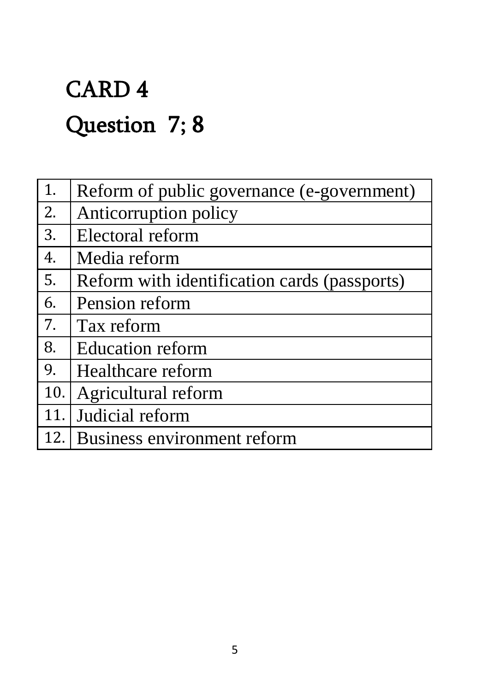## CARD 4 Question 7; 8

| 1.   | Reform of public governance (e-government)   |
|------|----------------------------------------------|
| 2.   | Anticorruption policy                        |
| 3.   | Electoral reform                             |
| 4.   | Media reform                                 |
| 5.   | Reform with identification cards (passports) |
| 6.   | Pension reform                               |
| 7.   | Tax reform                                   |
| 8.   | <b>Education reform</b>                      |
| 9.   | Healthcare reform                            |
| 10.1 | Agricultural reform                          |
| 11.  | Judicial reform                              |
| 12.1 | Business environment reform                  |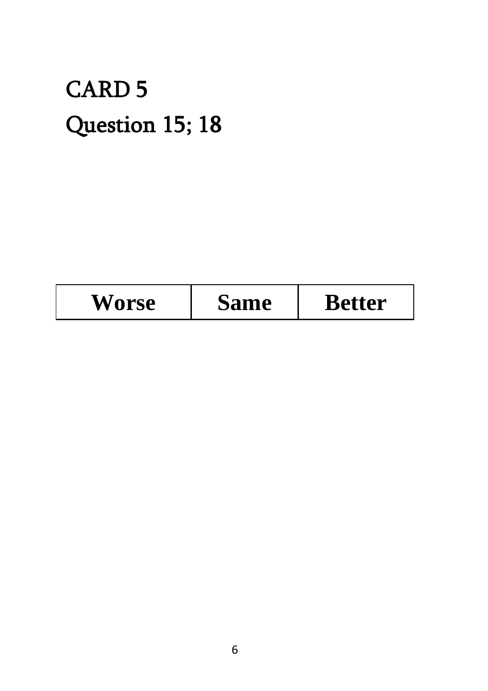### CARD 5 Question 15; 18

| <b>Worse</b> | <b>Same</b> | <b>Better</b> |
|--------------|-------------|---------------|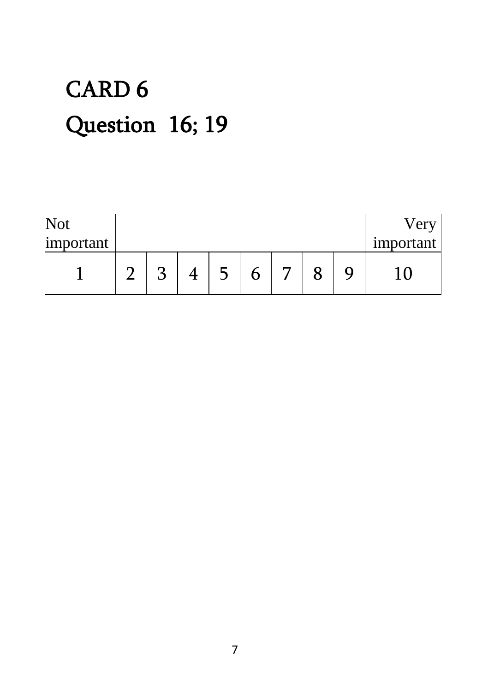## CARD 6 Question 16; 19

| Not       |  |  |  |  | $\mathbf{P}$ |
|-----------|--|--|--|--|--------------|
| important |  |  |  |  | important    |
|           |  |  |  |  |              |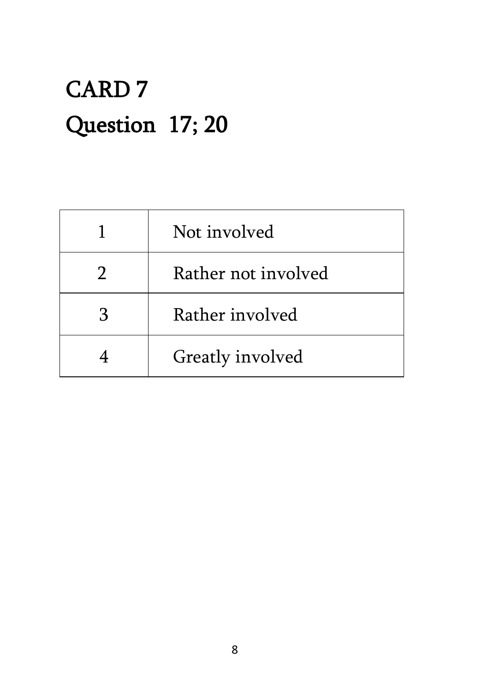### CARD 7 Question 17; 20

|   | Not involved        |
|---|---------------------|
|   | Rather not involved |
| З | Rather involved     |
|   | Greatly involved    |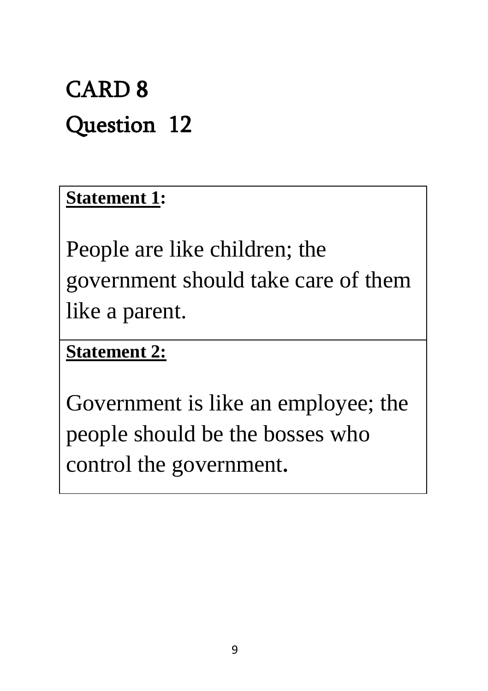### CARD 8 Question 12

### **Statement 1:**

People are like children; the government should take care of them like a parent.

### **Statement 2:**

Government is like an employee; the people should be the bosses who control the government**.**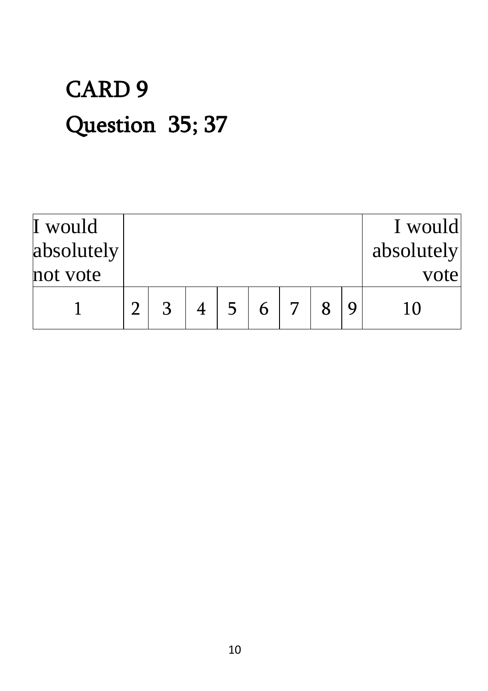# CARD 9 Question 35; 37

| I would<br>absolutely<br>not vote |   |  |  |  | I would<br>absolutely<br>vote |
|-----------------------------------|---|--|--|--|-------------------------------|
|                                   | ર |  |  |  | 10                            |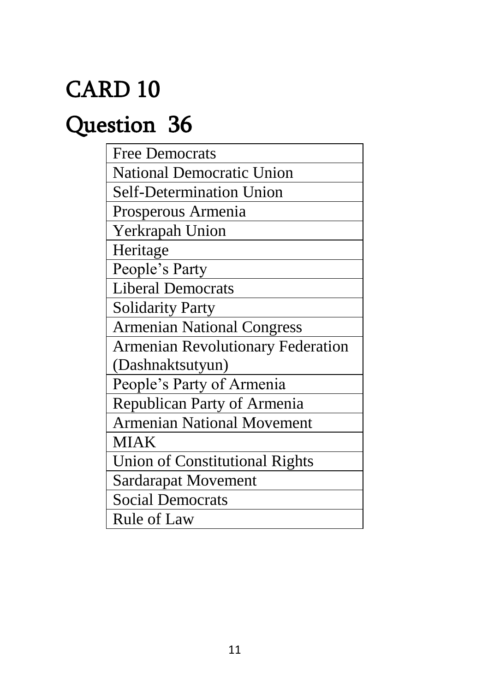### CARD 10

### Question 36

| <b>Free Democrats</b>                    |
|------------------------------------------|
| <b>National Democratic Union</b>         |
| <b>Self-Determination Union</b>          |
| Prosperous Armenia                       |
| Yerkrapah Union                          |
| Heritage                                 |
| People's Party                           |
| <b>Liberal Democrats</b>                 |
| <b>Solidarity Party</b>                  |
| <b>Armenian National Congress</b>        |
| <b>Armenian Revolutionary Federation</b> |
| (Dashnaktsutyun)                         |
| People's Party of Armenia                |
| Republican Party of Armenia              |
| <b>Armenian National Movement</b>        |
| <b>MIAK</b>                              |
| Union of Constitutional Rights           |
| <b>Sardarapat Movement</b>               |
| <b>Social Democrats</b>                  |
| <b>Rule of Law</b>                       |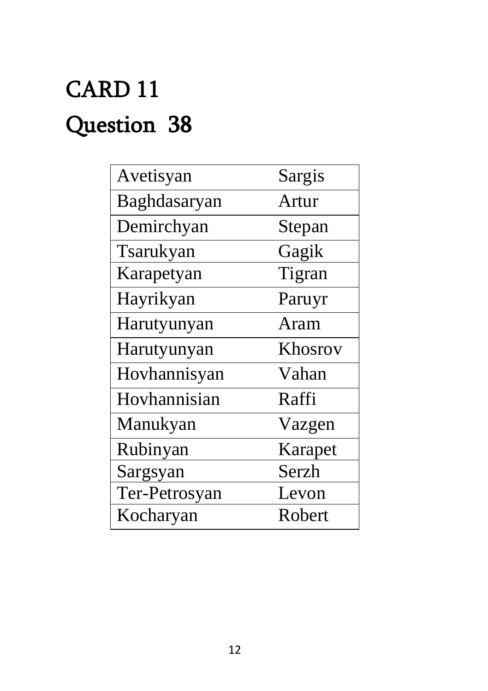# CARD 11 Question 38

| Avetisyan     | Sargis  |
|---------------|---------|
| Baghdasaryan  | Artur   |
| Demirchyan    | Stepan  |
| Tsarukyan     | Gagik   |
| Karapetyan    | Tigran  |
| Hayrikyan     | Paruyr  |
| Harutyunyan   | Aram    |
| Harutyunyan   | Khosrov |
| Hovhannisyan  | Vahan   |
| Hovhannisian  | Raffi   |
| Manukyan      | Vazgen  |
| Rubinyan      | Karapet |
| Sargsyan      | Serzh   |
| Ter-Petrosyan | Levon   |
| Kocharyan     | Robert  |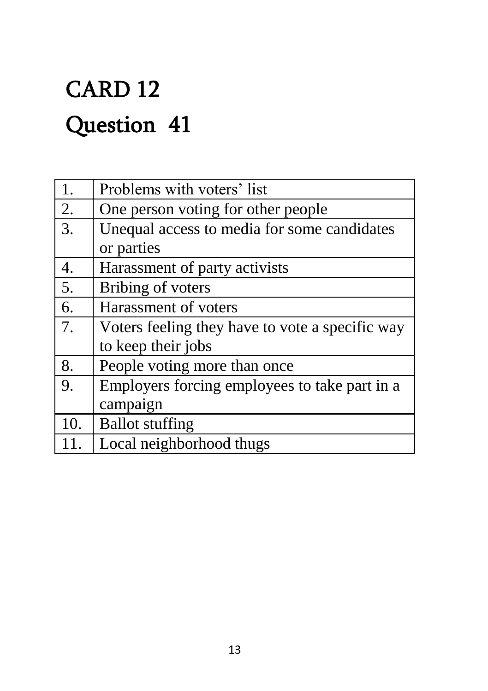# CARD 12 Question 41

| 1.  | Problems with voters' list                      |
|-----|-------------------------------------------------|
| 2.  | One person voting for other people              |
| 3.  | Unequal access to media for some candidates     |
|     | or parties                                      |
| 4.  | Harassment of party activists                   |
| 5.  | Bribing of voters                               |
| 6.  | Harassment of voters                            |
| 7.  | Voters feeling they have to vote a specific way |
|     | to keep their jobs                              |
| 8.  | People voting more than once                    |
| 9.  | Employers forcing employees to take part in a   |
|     | campaign                                        |
| 10. | <b>Ballot stuffing</b>                          |
|     | Local neighborhood thugs                        |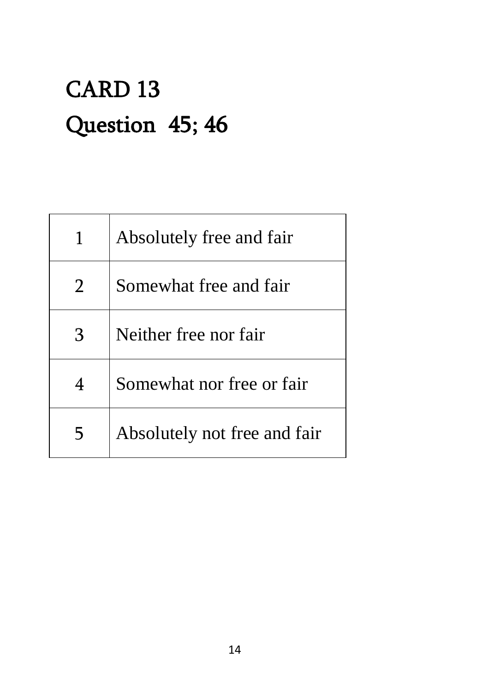### CARD 13 Question 45; 46

|   | Absolutely free and fair     |
|---|------------------------------|
|   | Somewhat free and fair       |
| 3 | Neither free nor fair        |
| 4 | Somewhat nor free or fair    |
|   | Absolutely not free and fair |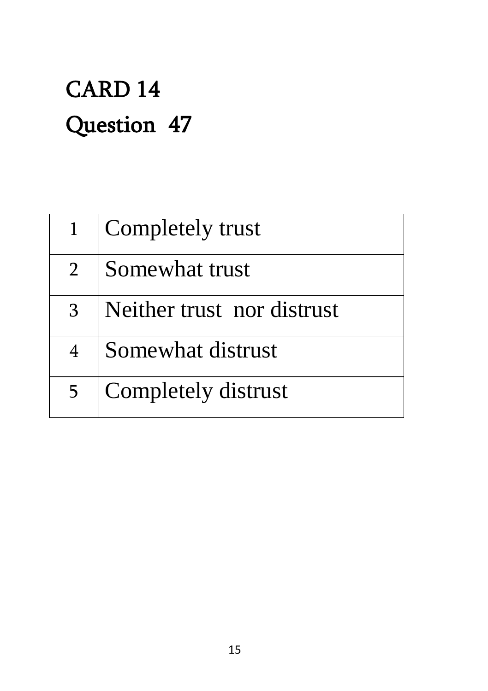### CARD 14 Question 47

|                | Completely trust           |
|----------------|----------------------------|
| 2 <sup>1</sup> | Somewhat trust             |
| 3              | Neither trust nor distrust |
| $\overline{4}$ | Somewhat distrust          |
| 5              | Completely distrust        |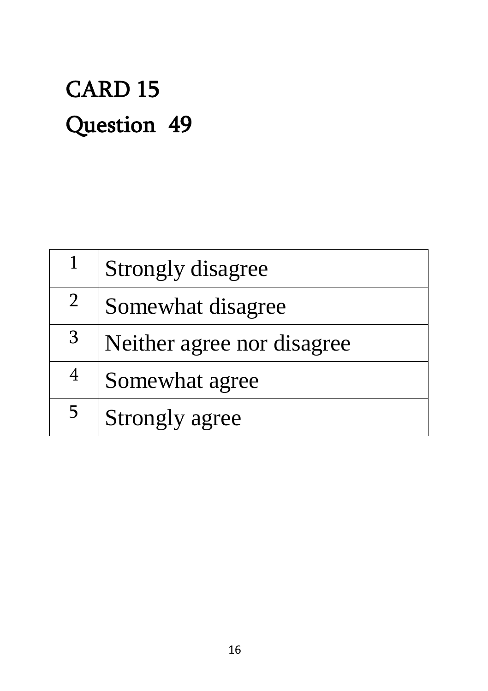### CARD 15 Question 49

|             | <b>Strongly disagree</b>   |
|-------------|----------------------------|
| $2^{\circ}$ | Somewhat disagree          |
| 3           | Neither agree nor disagree |
| 4           | Somewhat agree             |
| 5           | <b>Strongly agree</b>      |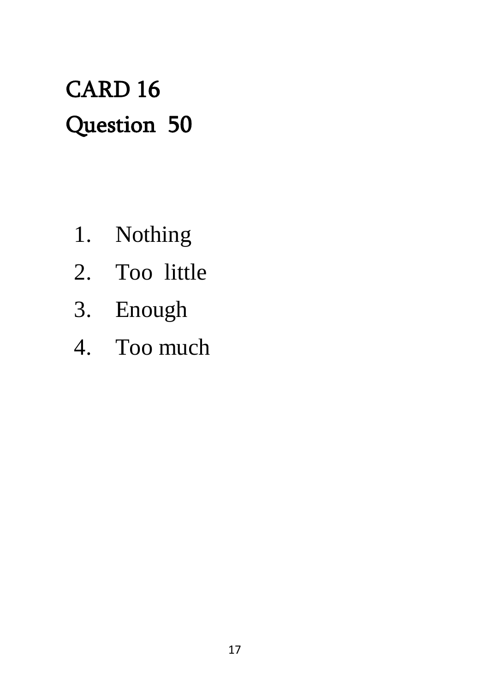### CARD 16 Question 50

- 1. Nothing
- 2. Too little
- 3. Enough
- 4. Too much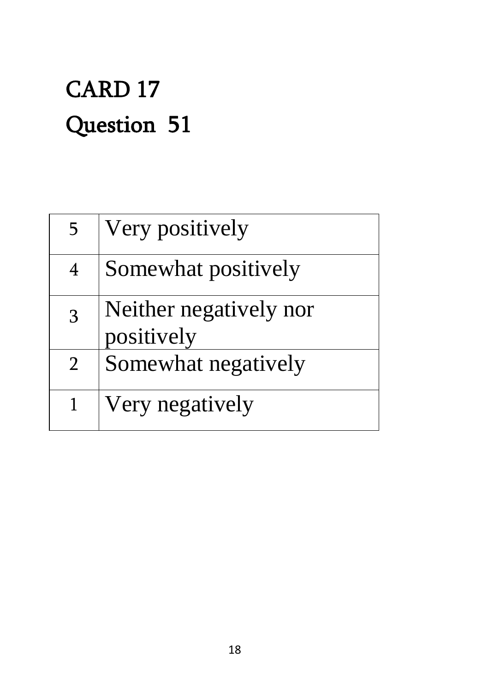### CARD 17 Question 51

| 5              | Very positively                      |
|----------------|--------------------------------------|
| $\overline{4}$ | Somewhat positively                  |
| $\overline{3}$ | Neither negatively nor<br>positively |
| $\overline{2}$ | Somewhat negatively                  |
|                | Very negatively                      |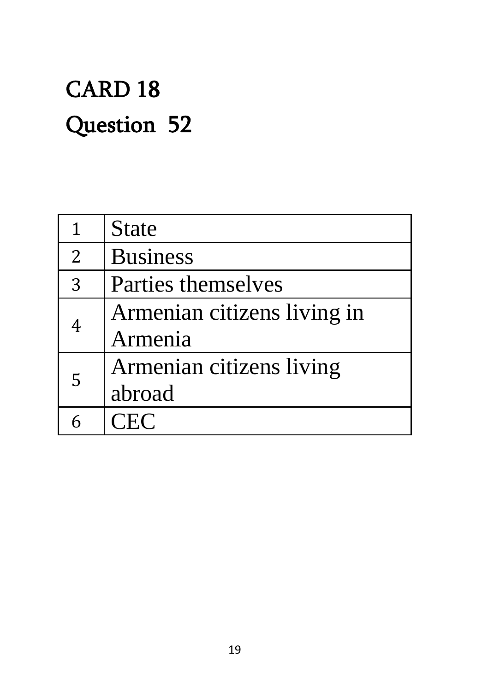### CARD 18 Question 52

| $\mathbf{1}$   | <b>State</b>                |
|----------------|-----------------------------|
| $\overline{2}$ | <b>Business</b>             |
| 3              | Parties themselves          |
| 4<br>5         | Armenian citizens living in |
|                | Armenia                     |
|                | Armenian citizens living    |
|                | abroad                      |
|                | CEC                         |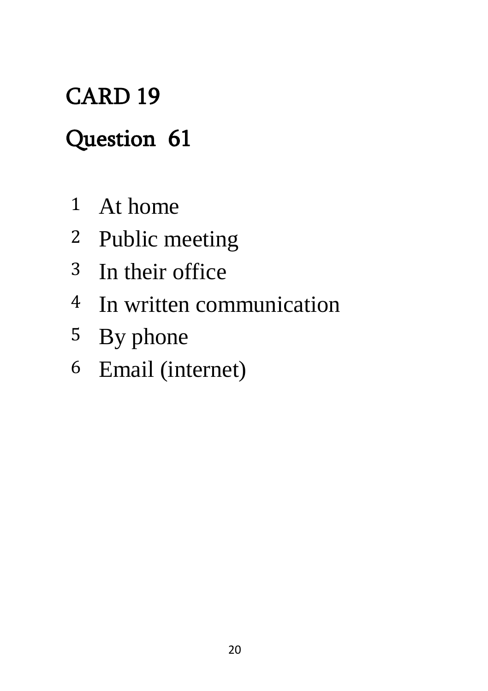### CARD 19

### Question 61

- At home
- Public meeting
- In their office
- In written communication
- By phone
- Email (internet)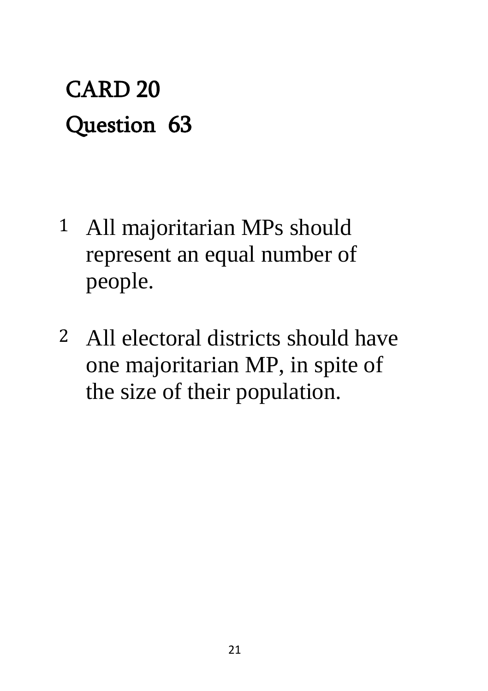### CARD 20 Question 63

- 1 All majoritarian MPs should represent an equal number of people.
- 2 All electoral districts should have one majoritarian MP, in spite of the size of their population.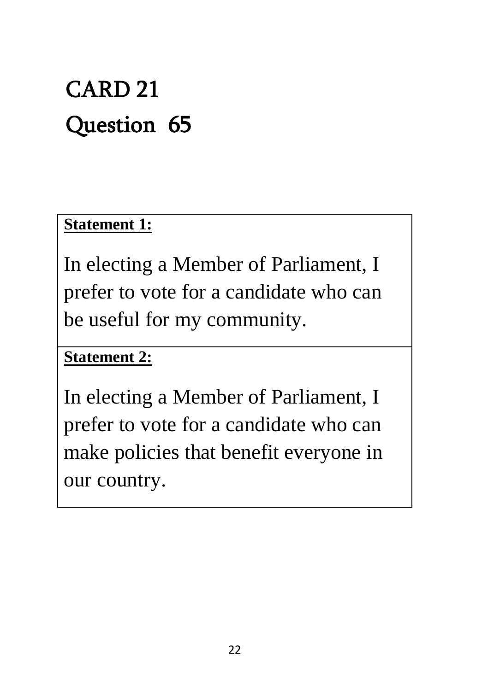### CARD 21 Question 65

#### **Statement 1:**

In electing a Member of Parliament, I prefer to vote for a candidate who can be useful for my community.

#### **Statement 2:**

In electing a Member of Parliament, I prefer to vote for a candidate who can make policies that benefit everyone in our country.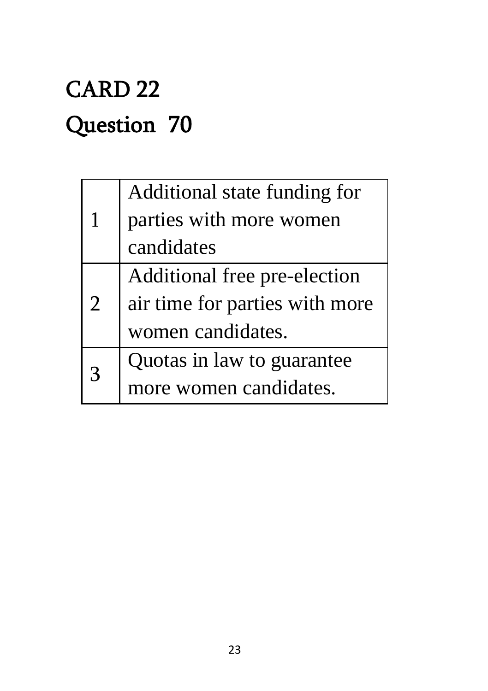### CARD 22 Question 70

| 1              | Additional state funding for   |
|----------------|--------------------------------|
|                | parties with more women        |
|                | candidates                     |
| $\overline{2}$ | Additional free pre-election   |
|                | air time for parties with more |
|                | women candidates.              |
| $\mathbf{R}$   | Quotas in law to guarantee     |
|                | more women candidates.         |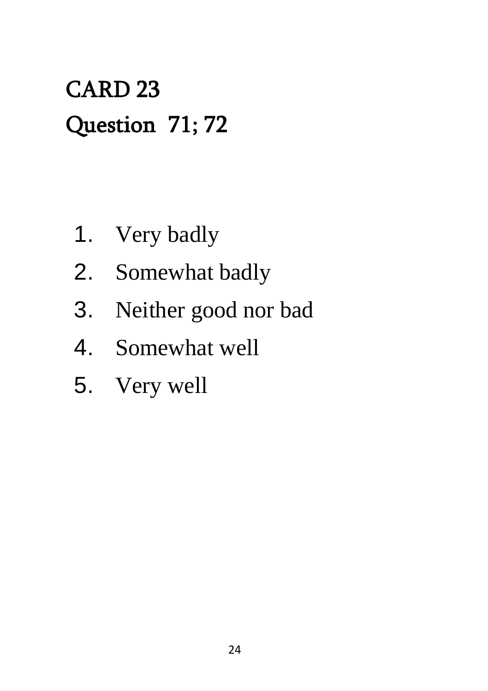### CARD 23 Question 71; 72

- 1. Very badly
- 2. Somewhat badly
- 3. Neither good nor bad
- 4. Somewhat well
- 5. Very well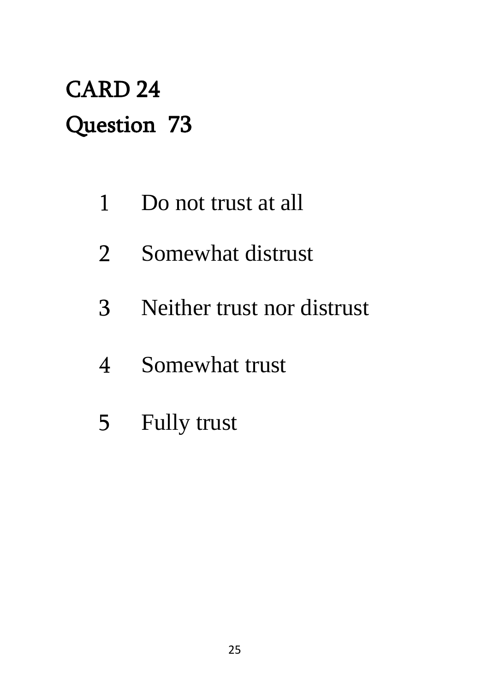### CARD 24 Question 73

- Do not trust at all
- Somewhat distrust
- Neither trust nor distrust
- Somewhat trust
- Fully trust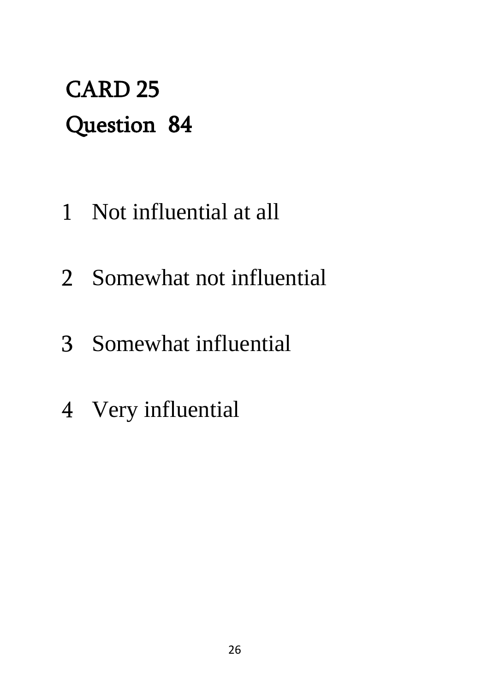### CARD 25 Question 84

- Not influential at all
- Somewhat not influential
- Somewhat influential
- Very influential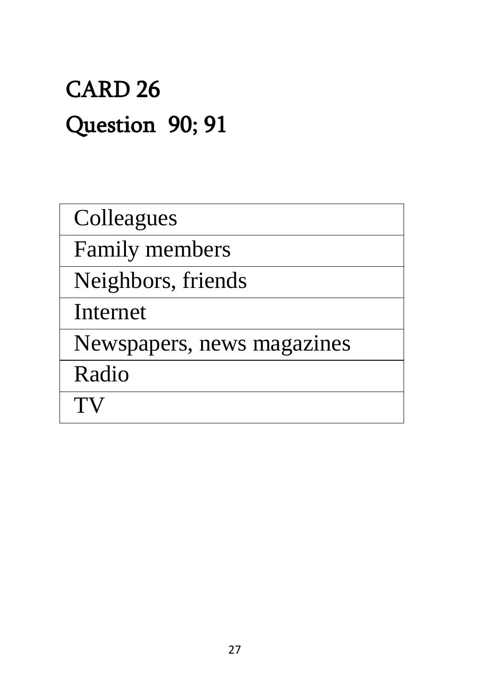### CARD 26 Question 90; 91

Colleagues

Family members

Neighbors, friends

Internet

Newspapers, news magazines

Radio

TV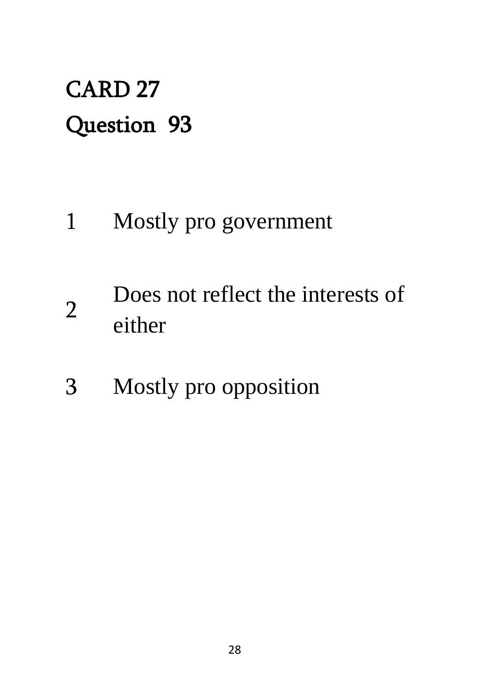### CARD 27 Question 93

- 1 Mostly pro government
- 2 Does not reflect the interests of either
- 3 Mostly pro opposition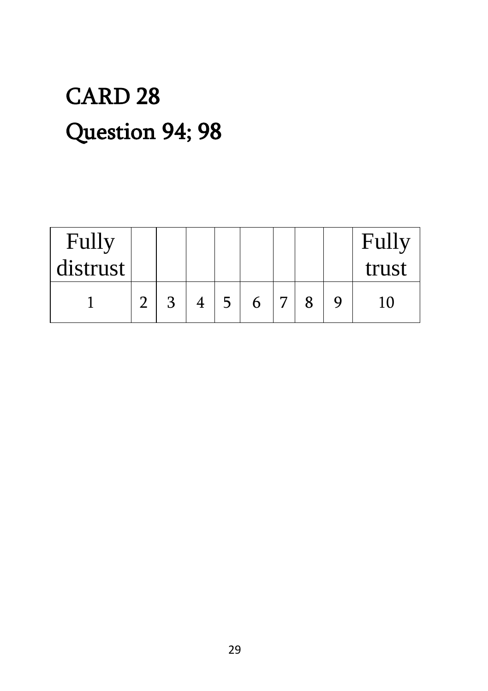### CARD 28 Question 94; 98

| Fully    |              |  |   |   |  | Fully |
|----------|--------------|--|---|---|--|-------|
| distrust |              |  |   |   |  | trust |
|          | $\mathbf{z}$ |  | 6 | ⇁ |  |       |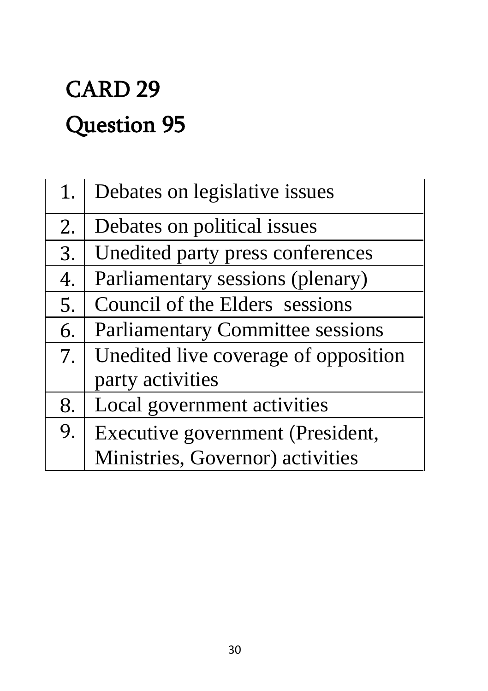## CARD 29 Question 95

| 1. | Debates on legislative issues           |
|----|-----------------------------------------|
| 2. | Debates on political issues             |
| 3. | Unedited party press conferences        |
| 4. | Parliamentary sessions (plenary)        |
| 5. | Council of the Elders sessions          |
| 6. | <b>Parliamentary Committee sessions</b> |
| 7. | Unedited live coverage of opposition    |
|    | party activities                        |
| 8. | Local government activities             |
| 9. | Executive government (President,        |
|    | Ministries, Governor) activities        |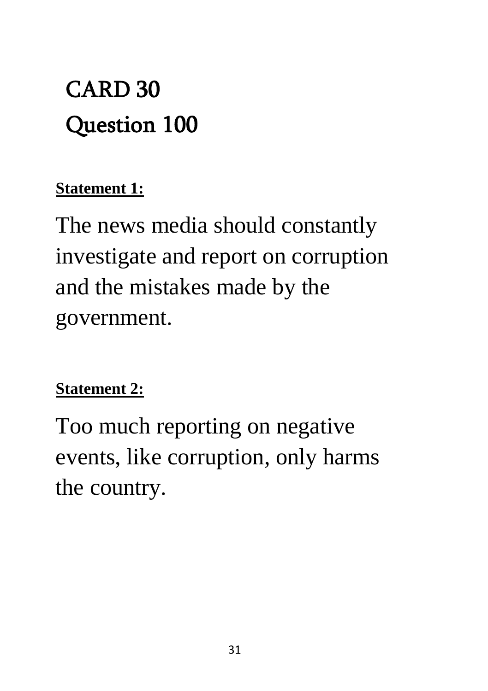### CARD 30 Question 100

#### **Statement 1:**

The news media should constantly investigate and report on corruption and the mistakes made by the government.

#### **Statement 2:**

Too much reporting on negative events, like corruption, only harms the country.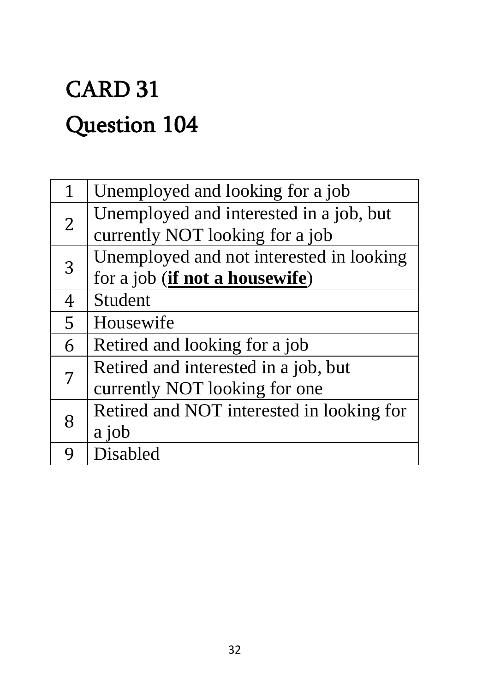## CARD 31 Question 104

| 1              | Unemployed and looking for a job          |
|----------------|-------------------------------------------|
| $\overline{2}$ | Unemployed and interested in a job, but   |
|                | currently NOT looking for a job           |
| 3              | Unemployed and not interested in looking  |
|                | for a job ( <i>if not a housewife</i> )   |
| 4              | <b>Student</b>                            |
| 5              | Housewife                                 |
| 6              | Retired and looking for a job             |
|                | Retired and interested in a job, but      |
|                | currently NOT looking for one             |
| 8              | Retired and NOT interested in looking for |
|                | a job                                     |
|                | Disabled                                  |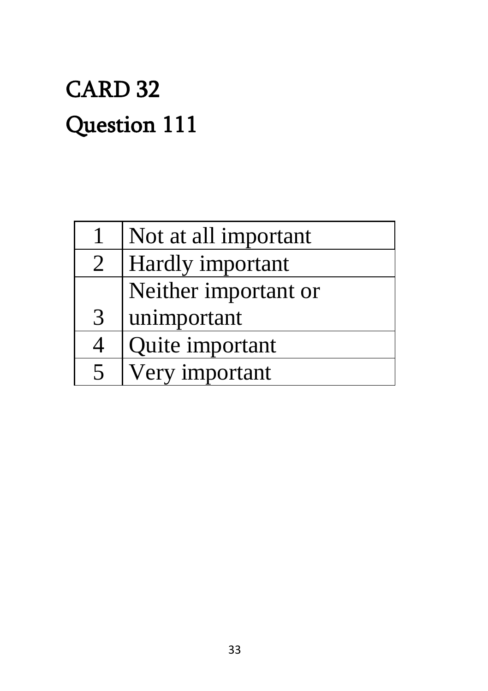## CARD 32 Question 111

|                | Not at all important |
|----------------|----------------------|
| $\overline{2}$ | Hardly important     |
|                | Neither important or |
| 3              | unimportant          |
| 4              | Quite important      |
| 5              | Very important       |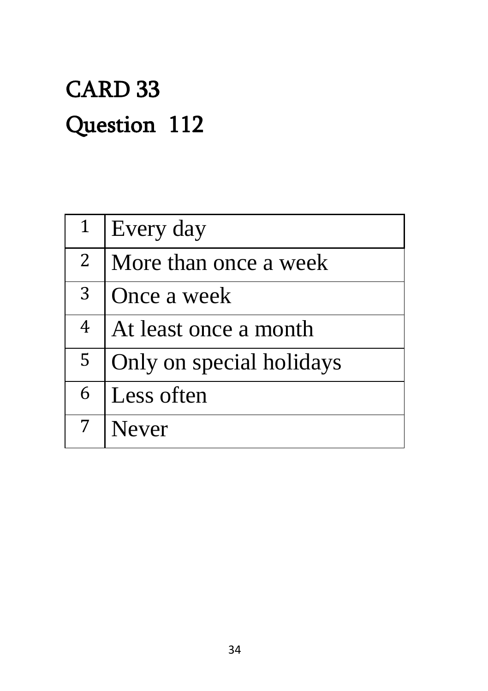### CARD 33 Question 112

| $\mathbf{1}$   | Every day                |
|----------------|--------------------------|
| $\overline{2}$ | More than once a week    |
| 3 <sup>1</sup> | Once a week              |
| $\overline{4}$ | At least once a month    |
| 5              | Only on special holidays |
| 6              | Less often               |
|                | <b>Never</b>             |